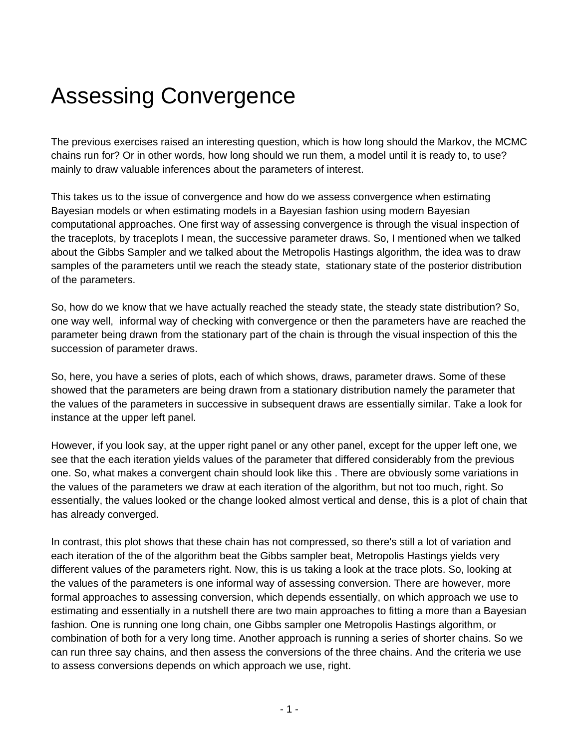## Assessing Convergence

The previous exercises raised an interesting question, which is how long should the Markov, the MCMC chains run for? Or in other words, how long should we run them, a model until it is ready to, to use? mainly to draw valuable inferences about the parameters of interest.

This takes us to the issue of convergence and how do we assess convergence when estimating Bayesian models or when estimating models in a Bayesian fashion using modern Bayesian computational approaches. One first way of assessing convergence is through the visual inspection of the traceplots, by traceplots I mean, the successive parameter draws. So, I mentioned when we talked about the Gibbs Sampler and we talked about the Metropolis Hastings algorithm, the idea was to draw samples of the parameters until we reach the steady state, stationary state of the posterior distribution of the parameters.

So, how do we know that we have actually reached the steady state, the steady state distribution? So, one way well, informal way of checking with convergence or then the parameters have are reached the parameter being drawn from the stationary part of the chain is through the visual inspection of this the succession of parameter draws.

So, here, you have a series of plots, each of which shows, draws, parameter draws. Some of these showed that the parameters are being drawn from a stationary distribution namely the parameter that the values of the parameters in successive in subsequent draws are essentially similar. Take a look for instance at the upper left panel.

However, if you look say, at the upper right panel or any other panel, except for the upper left one, we see that the each iteration yields values of the parameter that differed considerably from the previous one. So, what makes a convergent chain should look like this . There are obviously some variations in the values of the parameters we draw at each iteration of the algorithm, but not too much, right. So essentially, the values looked or the change looked almost vertical and dense, this is a plot of chain that has already converged.

In contrast, this plot shows that these chain has not compressed, so there's still a lot of variation and each iteration of the of the algorithm beat the Gibbs sampler beat, Metropolis Hastings yields very different values of the parameters right. Now, this is us taking a look at the trace plots. So, looking at the values of the parameters is one informal way of assessing conversion. There are however, more formal approaches to assessing conversion, which depends essentially, on which approach we use to estimating and essentially in a nutshell there are two main approaches to fitting a more than a Bayesian fashion. One is running one long chain, one Gibbs sampler one Metropolis Hastings algorithm, or combination of both for a very long time. Another approach is running a series of shorter chains. So we can run three say chains, and then assess the conversions of the three chains. And the criteria we use to assess conversions depends on which approach we use, right.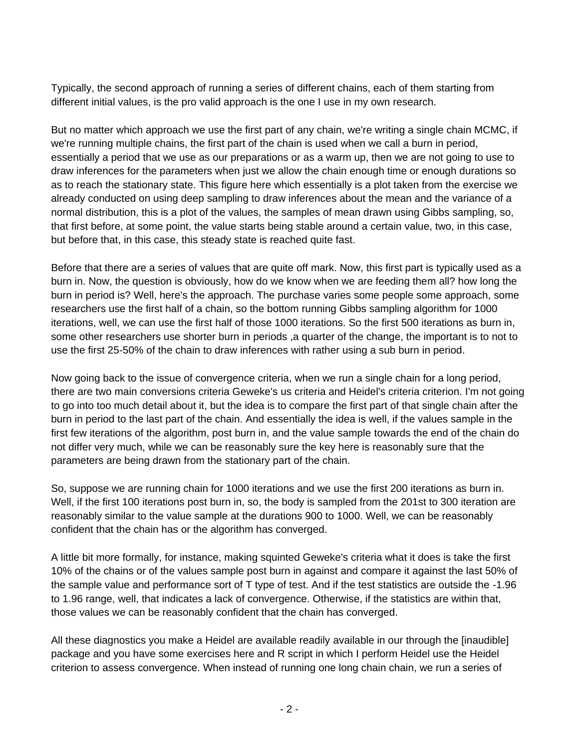Typically, the second approach of running a series of different chains, each of them starting from different initial values, is the pro valid approach is the one I use in my own research.

But no matter which approach we use the first part of any chain, we're writing a single chain MCMC, if we're running multiple chains, the first part of the chain is used when we call a burn in period, essentially a period that we use as our preparations or as a warm up, then we are not going to use to draw inferences for the parameters when just we allow the chain enough time or enough durations so as to reach the stationary state. This figure here which essentially is a plot taken from the exercise we already conducted on using deep sampling to draw inferences about the mean and the variance of a normal distribution, this is a plot of the values, the samples of mean drawn using Gibbs sampling, so, that first before, at some point, the value starts being stable around a certain value, two, in this case, but before that, in this case, this steady state is reached quite fast.

Before that there are a series of values that are quite off mark. Now, this first part is typically used as a burn in. Now, the question is obviously, how do we know when we are feeding them all? how long the burn in period is? Well, here's the approach. The purchase varies some people some approach, some researchers use the first half of a chain, so the bottom running Gibbs sampling algorithm for 1000 iterations, well, we can use the first half of those 1000 iterations. So the first 500 iterations as burn in, some other researchers use shorter burn in periods ,a quarter of the change, the important is to not to use the first 25-50% of the chain to draw inferences with rather using a sub burn in period.

Now going back to the issue of convergence criteria, when we run a single chain for a long period, there are two main conversions criteria Geweke's us criteria and Heidel's criteria criterion. I'm not going to go into too much detail about it, but the idea is to compare the first part of that single chain after the burn in period to the last part of the chain. And essentially the idea is well, if the values sample in the first few iterations of the algorithm, post burn in, and the value sample towards the end of the chain do not differ very much, while we can be reasonably sure the key here is reasonably sure that the parameters are being drawn from the stationary part of the chain.

So, suppose we are running chain for 1000 iterations and we use the first 200 iterations as burn in. Well, if the first 100 iterations post burn in, so, the body is sampled from the 201st to 300 iteration are reasonably similar to the value sample at the durations 900 to 1000. Well, we can be reasonably confident that the chain has or the algorithm has converged.

A little bit more formally, for instance, making squinted Geweke's criteria what it does is take the first 10% of the chains or of the values sample post burn in against and compare it against the last 50% of the sample value and performance sort of T type of test. And if the test statistics are outside the -1.96 to 1.96 range, well, that indicates a lack of convergence. Otherwise, if the statistics are within that, those values we can be reasonably confident that the chain has converged.

All these diagnostics you make a Heidel are available readily available in our through the [inaudible] package and you have some exercises here and R script in which I perform Heidel use the Heidel criterion to assess convergence. When instead of running one long chain chain, we run a series of